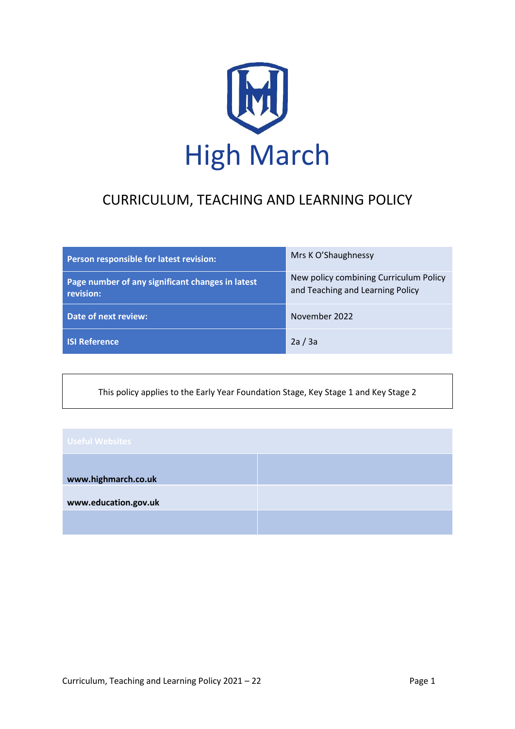

# CURRICULUM, TEACHING AND LEARNING POLICY

| Person responsible for latest revision:                       | Mrs K O'Shaughnessy                                                        |
|---------------------------------------------------------------|----------------------------------------------------------------------------|
| Page number of any significant changes in latest<br>revision: | New policy combining Curriculum Policy<br>and Teaching and Learning Policy |
| Date of next review:                                          | November 2022                                                              |
| <b>ISI Reference</b>                                          | 2a/3a                                                                      |

This policy applies to the Early Year Foundation Stage, Key Stage 1 and Key Stage 2

| <b>Useful Websites</b> |  |
|------------------------|--|
| www.highmarch.co.uk    |  |
| www.education.gov.uk   |  |
|                        |  |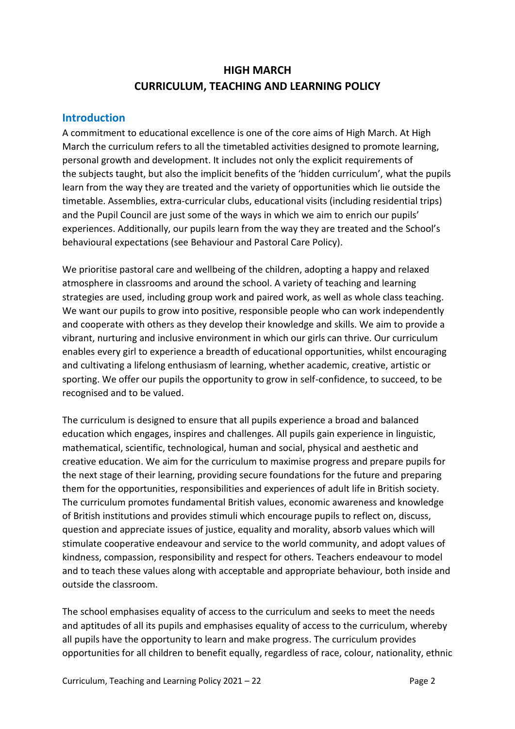# **HIGH MARCH CURRICULUM, TEACHING AND LEARNING POLICY**

## **Introduction**

A commitment to educational excellence is one of the core aims of High March. At High March the curriculum refers to all the timetabled activities designed to promote learning, personal growth and development. It includes not only the explicit requirements of the subjects taught, but also the implicit benefits of the 'hidden curriculum', what the pupils learn from the way they are treated and the variety of opportunities which lie outside the timetable. Assemblies, extra-curricular clubs, educational visits (including residential trips) and the Pupil Council are just some of the ways in which we aim to enrich our pupils' experiences. Additionally, our pupils learn from the way they are treated and the School's behavioural expectations (see Behaviour and Pastoral Care Policy).

We prioritise pastoral care and wellbeing of the children, adopting a happy and relaxed atmosphere in classrooms and around the school. A variety of teaching and learning strategies are used, including group work and paired work, as well as whole class teaching. We want our pupils to grow into positive, responsible people who can work independently and cooperate with others as they develop their knowledge and skills. We aim to provide a vibrant, nurturing and inclusive environment in which our girls can thrive. Our curriculum enables every girl to experience a breadth of educational opportunities, whilst encouraging and cultivating a lifelong enthusiasm of learning, whether academic, creative, artistic or sporting. We offer our pupils the opportunity to grow in self-confidence, to succeed, to be recognised and to be valued.

The curriculum is designed to ensure that all pupils experience a broad and balanced education which engages, inspires and challenges. All pupils gain experience in linguistic, mathematical, scientific, technological, human and social, physical and aesthetic and creative education. We aim for the curriculum to maximise progress and prepare pupils for the next stage of their learning, providing secure foundations for the future and preparing them for the opportunities, responsibilities and experiences of adult life in British society. The curriculum promotes fundamental British values, economic awareness and knowledge of British institutions and provides stimuli which encourage pupils to reflect on, discuss, question and appreciate issues of justice, equality and morality, absorb values which will stimulate cooperative endeavour and service to the world community, and adopt values of kindness, compassion, responsibility and respect for others. Teachers endeavour to model and to teach these values along with acceptable and appropriate behaviour, both inside and outside the classroom.

The school emphasises equality of access to the curriculum and seeks to meet the needs and aptitudes of all its pupils and emphasises equality of access to the curriculum, whereby all pupils have the opportunity to learn and make progress. The curriculum provides opportunities for all children to benefit equally, regardless of race, colour, nationality, ethnic

Curriculum, Teaching and Learning Policy 2021 – 22 **Page 2** Page 2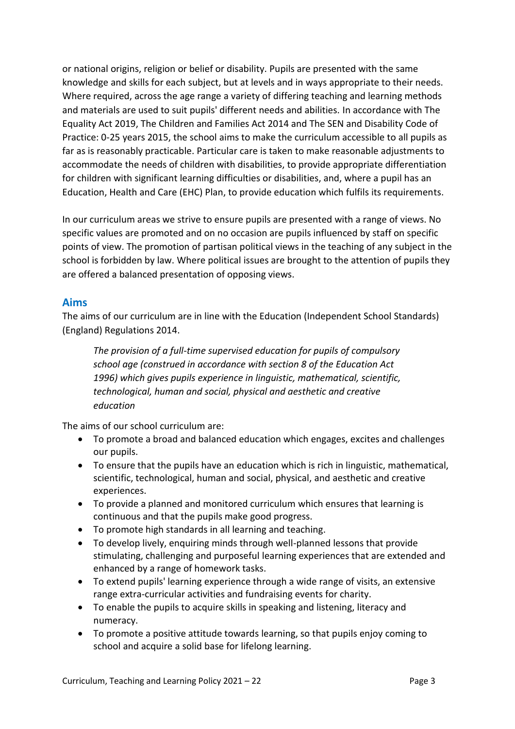or national origins, religion or belief or disability. Pupils are presented with the same knowledge and skills for each subject, but at levels and in ways appropriate to their needs. Where required, across the age range a variety of differing teaching and learning methods and materials are used to suit pupils' different needs and abilities. In accordance with The Equality Act 2019, The Children and Families Act 2014 and The SEN and Disability Code of Practice: 0-25 years 2015, the school aims to make the curriculum accessible to all pupils as far as is reasonably practicable. Particular care is taken to make reasonable adjustments to accommodate the needs of children with disabilities, to provide appropriate differentiation for children with significant learning difficulties or disabilities, and, where a pupil has an Education, Health and Care (EHC) Plan, to provide education which fulfils its requirements.

In our curriculum areas we strive to ensure pupils are presented with a range of views. No specific values are promoted and on no occasion are pupils influenced by staff on specific points of view. The promotion of partisan political views in the teaching of any subject in the school is forbidden by law. Where political issues are brought to the attention of pupils they are offered a balanced presentation of opposing views.

## **Aims**

The aims of our curriculum are in line with the Education (Independent School Standards) (England) Regulations 2014.

*The provision of a full-time supervised education for pupils of compulsory school age (construed in accordance with section 8 of the Education Act 1996) which gives pupils experience in linguistic, mathematical, scientific, technological, human and social, physical and aesthetic and creative education*

The aims of our school curriculum are:

- To promote a broad and balanced education which engages, excites and challenges our pupils.
- To ensure that the pupils have an education which is rich in linguistic, mathematical, scientific, technological, human and social, physical, and aesthetic and creative experiences.
- To provide a planned and monitored curriculum which ensures that learning is continuous and that the pupils make good progress.
- To promote high standards in all learning and teaching.
- To develop lively, enquiring minds through well-planned lessons that provide stimulating, challenging and purposeful learning experiences that are extended and enhanced by a range of homework tasks.
- To extend pupils' learning experience through a wide range of visits, an extensive range extra-curricular activities and fundraising events for charity.
- To enable the pupils to acquire skills in speaking and listening, literacy and numeracy.
- To promote a positive attitude towards learning, so that pupils enjoy coming to school and acquire a solid base for lifelong learning.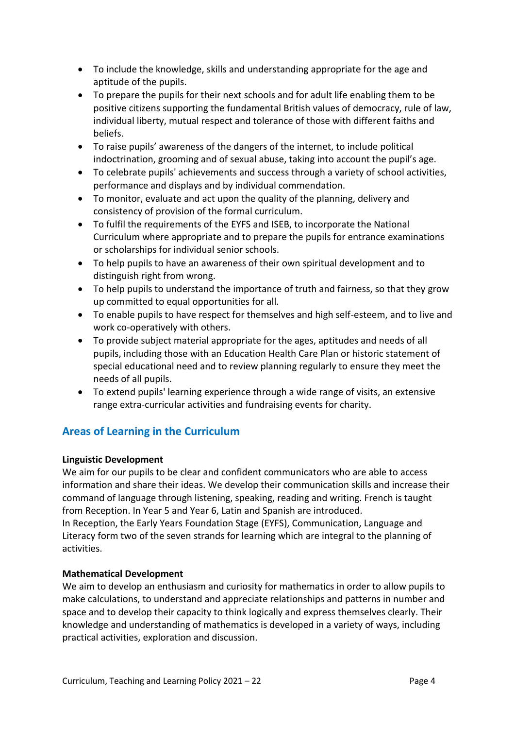- To include the knowledge, skills and understanding appropriate for the age and aptitude of the pupils.
- To prepare the pupils for their next schools and for adult life enabling them to be positive citizens supporting the fundamental British values of democracy, rule of law, individual liberty, mutual respect and tolerance of those with different faiths and beliefs.
- To raise pupils' awareness of the dangers of the internet, to include political indoctrination, grooming and of sexual abuse, taking into account the pupil's age.
- To celebrate pupils' achievements and success through a variety of school activities, performance and displays and by individual commendation.
- To monitor, evaluate and act upon the quality of the planning, delivery and consistency of provision of the formal curriculum.
- To fulfil the requirements of the EYFS and ISEB, to incorporate the National Curriculum where appropriate and to prepare the pupils for entrance examinations or scholarships for individual senior schools.
- To help pupils to have an awareness of their own spiritual development and to distinguish right from wrong.
- To help pupils to understand the importance of truth and fairness, so that they grow up committed to equal opportunities for all.
- To enable pupils to have respect for themselves and high self-esteem, and to live and work co-operatively with others.
- To provide subject material appropriate for the ages, aptitudes and needs of all pupils, including those with an Education Health Care Plan or historic statement of special educational need and to review planning regularly to ensure they meet the needs of all pupils.
- To extend pupils' learning experience through a wide range of visits, an extensive range extra-curricular activities and fundraising events for charity.

# **Areas of Learning in the Curriculum**

## **Linguistic Development**

We aim for our pupils to be clear and confident communicators who are able to access information and share their ideas. We develop their communication skills and increase their command of language through listening, speaking, reading and writing. French is taught from Reception. In Year 5 and Year 6, Latin and Spanish are introduced.

In Reception, the Early Years Foundation Stage (EYFS), Communication, Language and Literacy form two of the seven strands for learning which are integral to the planning of activities.

## **Mathematical Development**

We aim to develop an enthusiasm and curiosity for mathematics in order to allow pupils to make calculations, to understand and appreciate relationships and patterns in number and space and to develop their capacity to think logically and express themselves clearly. Their knowledge and understanding of mathematics is developed in a variety of ways, including practical activities, exploration and discussion.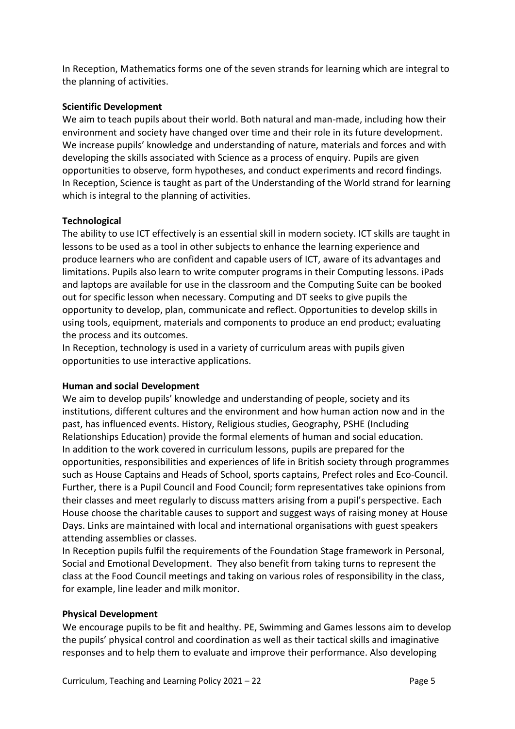In Reception, Mathematics forms one of the seven strands for learning which are integral to the planning of activities.

#### **Scientific Development**

We aim to teach pupils about their world. Both natural and man-made, including how their environment and society have changed over time and their role in its future development. We increase pupils' knowledge and understanding of nature, materials and forces and with developing the skills associated with Science as a process of enquiry. Pupils are given opportunities to observe, form hypotheses, and conduct experiments and record findings. In Reception, Science is taught as part of the Understanding of the World strand for learning which is integral to the planning of activities.

#### **Technological**

The ability to use ICT effectively is an essential skill in modern society. ICT skills are taught in lessons to be used as a tool in other subjects to enhance the learning experience and produce learners who are confident and capable users of ICT, aware of its advantages and limitations. Pupils also learn to write computer programs in their Computing lessons. iPads and laptops are available for use in the classroom and the Computing Suite can be booked out for specific lesson when necessary. Computing and DT seeks to give pupils the opportunity to develop, plan, communicate and reflect. Opportunities to develop skills in using tools, equipment, materials and components to produce an end product; evaluating the process and its outcomes.

In Reception, technology is used in a variety of curriculum areas with pupils given opportunities to use interactive applications.

#### **Human and social Development**

We aim to develop pupils' knowledge and understanding of people, society and its institutions, different cultures and the environment and how human action now and in the past, has influenced events. History, Religious studies, Geography, PSHE (Including Relationships Education) provide the formal elements of human and social education. In addition to the work covered in curriculum lessons, pupils are prepared for the opportunities, responsibilities and experiences of life in British society through programmes such as House Captains and Heads of School, sports captains, Prefect roles and Eco-Council. Further, there is a Pupil Council and Food Council; form representatives take opinions from their classes and meet regularly to discuss matters arising from a pupil's perspective. Each House choose the charitable causes to support and suggest ways of raising money at House Days. Links are maintained with local and international organisations with guest speakers attending assemblies or classes.

In Reception pupils fulfil the requirements of the Foundation Stage framework in Personal, Social and Emotional Development. They also benefit from taking turns to represent the class at the Food Council meetings and taking on various roles of responsibility in the class, for example, line leader and milk monitor.

#### **Physical Development**

We encourage pupils to be fit and healthy. PE, Swimming and Games lessons aim to develop the pupils' physical control and coordination as well as their tactical skills and imaginative responses and to help them to evaluate and improve their performance. Also developing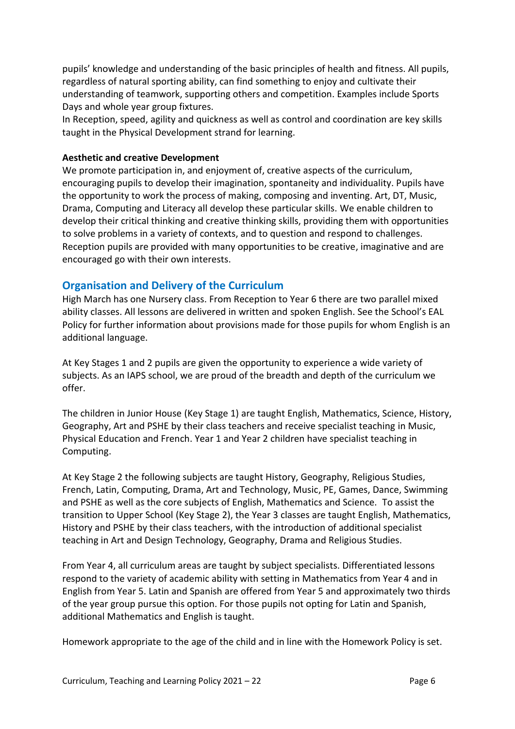pupils' knowledge and understanding of the basic principles of health and fitness. All pupils, regardless of natural sporting ability, can find something to enjoy and cultivate their understanding of teamwork, supporting others and competition. Examples include Sports Days and whole year group fixtures.

In Reception, speed, agility and quickness as well as control and coordination are key skills taught in the Physical Development strand for learning.

#### **Aesthetic and creative Development**

We promote participation in, and enjoyment of, creative aspects of the curriculum, encouraging pupils to develop their imagination, spontaneity and individuality. Pupils have the opportunity to work the process of making, composing and inventing. Art, DT, Music, Drama, Computing and Literacy all develop these particular skills. We enable children to develop their critical thinking and creative thinking skills, providing them with opportunities to solve problems in a variety of contexts, and to question and respond to challenges. Reception pupils are provided with many opportunities to be creative, imaginative and are encouraged go with their own interests.

## **Organisation and Delivery of the Curriculum**

High March has one Nursery class. From Reception to Year 6 there are two parallel mixed ability classes. All lessons are delivered in written and spoken English. See the School's EAL Policy for further information about provisions made for those pupils for whom English is an additional language.

At Key Stages 1 and 2 pupils are given the opportunity to experience a wide variety of subjects. As an IAPS school, we are proud of the breadth and depth of the curriculum we offer.

The children in Junior House (Key Stage 1) are taught English, Mathematics, Science, History, Geography, Art and PSHE by their class teachers and receive specialist teaching in Music, Physical Education and French. Year 1 and Year 2 children have specialist teaching in Computing.

At Key Stage 2 the following subjects are taught History, Geography, Religious Studies, French, Latin, Computing, Drama, Art and Technology, Music, PE, Games, Dance, Swimming and PSHE as well as the core subjects of English, Mathematics and Science. To assist the transition to Upper School (Key Stage 2), the Year 3 classes are taught English, Mathematics, History and PSHE by their class teachers, with the introduction of additional specialist teaching in Art and Design Technology, Geography, Drama and Religious Studies.

From Year 4, all curriculum areas are taught by subject specialists. Differentiated lessons respond to the variety of academic ability with setting in Mathematics from Year 4 and in English from Year 5. Latin and Spanish are offered from Year 5 and approximately two thirds of the year group pursue this option. For those pupils not opting for Latin and Spanish, additional Mathematics and English is taught.

Homework appropriate to the age of the child and in line with the Homework Policy is set.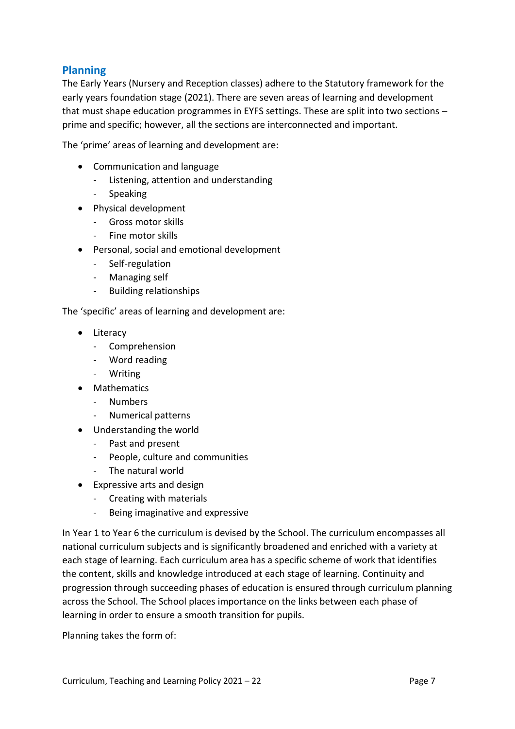## **Planning**

The Early Years (Nursery and Reception classes) adhere to the Statutory framework for the early years foundation stage (2021). There are seven areas of learning and development that must shape education programmes in EYFS settings. These are split into two sections – prime and specific; however, all the sections are interconnected and important.

The 'prime' areas of learning and development are:

- Communication and language
	- Listening, attention and understanding
	- **Speaking**
- Physical development
	- Gross motor skills
	- Fine motor skills
- Personal, social and emotional development
	- Self-regulation
	- Managing self
	- Building relationships

The 'specific' areas of learning and development are:

- Literacy
	- Comprehension
	- Word reading
	- Writing
- Mathematics
	- Numbers
	- Numerical patterns
- Understanding the world
	- Past and present
	- People, culture and communities
	- The natural world
- Expressive arts and design
	- Creating with materials
	- Being imaginative and expressive

In Year 1 to Year 6 the curriculum is devised by the School. The curriculum encompasses all national curriculum subjects and is significantly broadened and enriched with a variety at each stage of learning. Each curriculum area has a specific scheme of work that identifies the content, skills and knowledge introduced at each stage of learning. Continuity and progression through succeeding phases of education is ensured through curriculum planning across the School. The School places importance on the links between each phase of learning in order to ensure a smooth transition for pupils.

Planning takes the form of: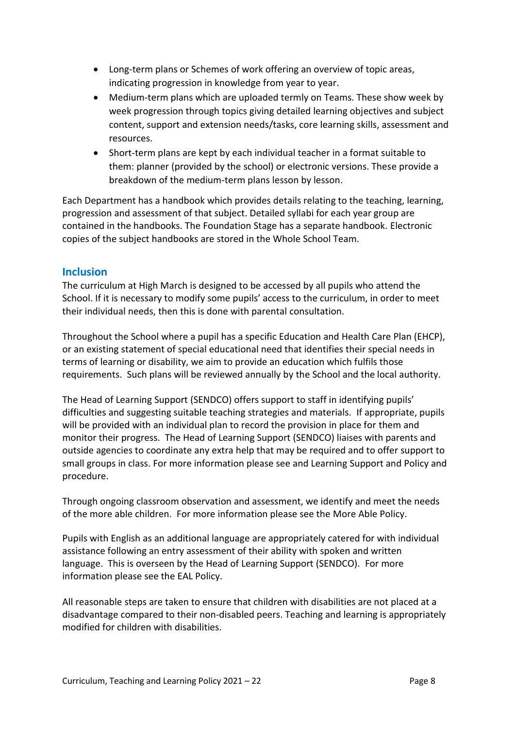- Long-term plans or Schemes of work offering an overview of topic areas, indicating progression in knowledge from year to year.
- Medium-term plans which are uploaded termly on Teams. These show week by week progression through topics giving detailed learning objectives and subject content, support and extension needs/tasks, core learning skills, assessment and resources.
- Short-term plans are kept by each individual teacher in a format suitable to them: planner (provided by the school) or electronic versions. These provide a breakdown of the medium-term plans lesson by lesson.

Each Department has a handbook which provides details relating to the teaching, learning, progression and assessment of that subject. Detailed syllabi for each year group are contained in the handbooks. The Foundation Stage has a separate handbook. Electronic copies of the subject handbooks are stored in the Whole School Team.

## **Inclusion**

The curriculum at High March is designed to be accessed by all pupils who attend the School. If it is necessary to modify some pupils' access to the curriculum, in order to meet their individual needs, then this is done with parental consultation.

Throughout the School where a pupil has a specific Education and Health Care Plan (EHCP), or an existing statement of special educational need that identifies their special needs in terms of learning or disability, we aim to provide an education which fulfils those requirements. Such plans will be reviewed annually by the School and the local authority.

The Head of Learning Support (SENDCO) offers support to staff in identifying pupils' difficulties and suggesting suitable teaching strategies and materials. If appropriate, pupils will be provided with an individual plan to record the provision in place for them and monitor their progress. The Head of Learning Support (SENDCO) liaises with parents and outside agencies to coordinate any extra help that may be required and to offer support to small groups in class. For more information please see and Learning Support and Policy and procedure.

Through ongoing classroom observation and assessment, we identify and meet the needs of the more able children. For more information please see the More Able Policy.

Pupils with English as an additional language are appropriately catered for with individual assistance following an entry assessment of their ability with spoken and written language. This is overseen by the Head of Learning Support (SENDCO). For more information please see the EAL Policy.

All reasonable steps are taken to ensure that children with disabilities are not placed at a disadvantage compared to their non-disabled peers. Teaching and learning is appropriately modified for children with disabilities.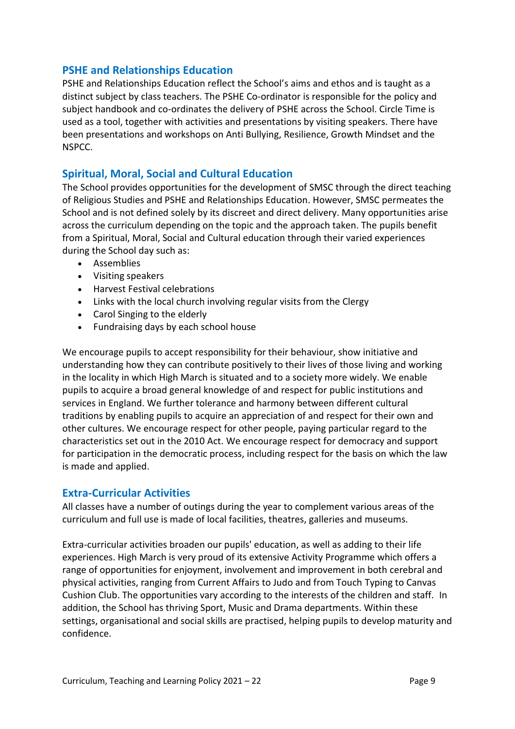## **PSHE and Relationships Education**

PSHE and Relationships Education reflect the School's aims and ethos and is taught as a distinct subject by class teachers. The PSHE Co-ordinator is responsible for the policy and subject handbook and co-ordinates the delivery of PSHE across the School. Circle Time is used as a tool, together with activities and presentations by visiting speakers. There have been presentations and workshops on Anti Bullying, Resilience, Growth Mindset and the NSPCC.

## **Spiritual, Moral, Social and Cultural Education**

The School provides opportunities for the development of SMSC through the direct teaching of Religious Studies and PSHE and Relationships Education. However, SMSC permeates the School and is not defined solely by its discreet and direct delivery. Many opportunities arise across the curriculum depending on the topic and the approach taken. The pupils benefit from a Spiritual, Moral, Social and Cultural education through their varied experiences during the School day such as:

- Assemblies
- Visiting speakers
- Harvest Festival celebrations
- Links with the local church involving regular visits from the Clergy
- Carol Singing to the elderly
- Fundraising days by each school house

We encourage pupils to accept responsibility for their behaviour, show initiative and understanding how they can contribute positively to their lives of those living and working in the locality in which High March is situated and to a society more widely. We enable pupils to acquire a broad general knowledge of and respect for public institutions and services in England. We further tolerance and harmony between different cultural traditions by enabling pupils to acquire an appreciation of and respect for their own and other cultures. We encourage respect for other people, paying particular regard to the characteristics set out in the 2010 Act. We encourage respect for democracy and support for participation in the democratic process, including respect for the basis on which the law is made and applied.

## **Extra-Curricular Activities**

All classes have a number of outings during the year to complement various areas of the curriculum and full use is made of local facilities, theatres, galleries and museums.

Extra-curricular activities broaden our pupils' education, as well as adding to their life experiences. High March is very proud of its extensive Activity Programme which offers a range of opportunities for enjoyment, involvement and improvement in both cerebral and physical activities, ranging from Current Affairs to Judo and from Touch Typing to Canvas Cushion Club. The opportunities vary according to the interests of the children and staff. In addition, the School has thriving Sport, Music and Drama departments. Within these settings, organisational and social skills are practised, helping pupils to develop maturity and confidence.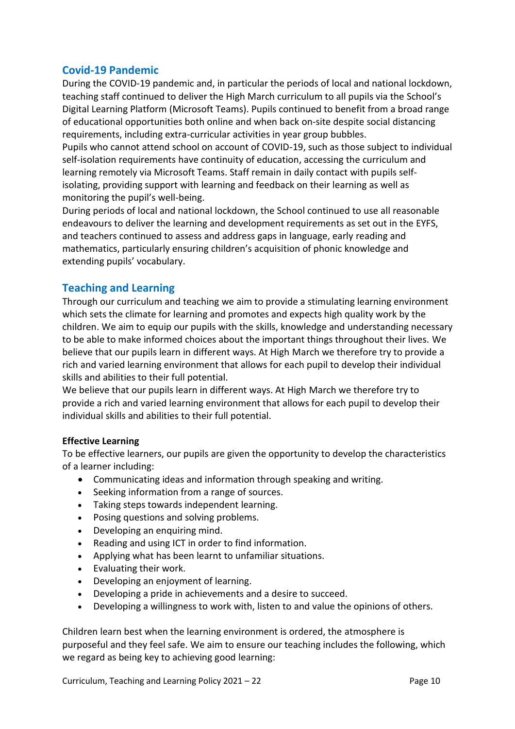## **Covid-19 Pandemic**

During the COVID-19 pandemic and, in particular the periods of local and national lockdown, teaching staff continued to deliver the High March curriculum to all pupils via the School's Digital Learning Platform (Microsoft Teams). Pupils continued to benefit from a broad range of educational opportunities both online and when back on-site despite social distancing requirements, including extra-curricular activities in year group bubbles.

Pupils who cannot attend school on account of COVID-19, such as those subject to individual self-isolation requirements have continuity of education, accessing the curriculum and learning remotely via Microsoft Teams. Staff remain in daily contact with pupils selfisolating, providing support with learning and feedback on their learning as well as monitoring the pupil's well-being.

During periods of local and national lockdown, the School continued to use all reasonable endeavours to deliver the learning and development requirements as set out in the EYFS, and teachers continued to assess and address gaps in language, early reading and mathematics, particularly ensuring children's acquisition of phonic knowledge and extending pupils' vocabulary.

## **Teaching and Learning**

Through our curriculum and teaching we aim to provide a stimulating learning environment which sets the climate for learning and promotes and expects high quality work by the children. We aim to equip our pupils with the skills, knowledge and understanding necessary to be able to make informed choices about the important things throughout their lives. We believe that our pupils learn in different ways. At High March we therefore try to provide a rich and varied learning environment that allows for each pupil to develop their individual skills and abilities to their full potential.

We believe that our pupils learn in different ways. At High March we therefore try to provide a rich and varied learning environment that allows for each pupil to develop their individual skills and abilities to their full potential.

#### **Effective Learning**

To be effective learners, our pupils are given the opportunity to develop the characteristics of a learner including:

- Communicating ideas and information through speaking and writing.
- Seeking information from a range of sources.
- Taking steps towards independent learning.
- Posing questions and solving problems.
- Developing an enquiring mind.
- Reading and using ICT in order to find information.
- Applying what has been learnt to unfamiliar situations.
- Evaluating their work.
- Developing an enjoyment of learning.
- Developing a pride in achievements and a desire to succeed.
- Developing a willingness to work with, listen to and value the opinions of others.

Children learn best when the learning environment is ordered, the atmosphere is purposeful and they feel safe. We aim to ensure our teaching includes the following, which we regard as being key to achieving good learning:

Curriculum, Teaching and Learning Policy 2021 – 22 Page 10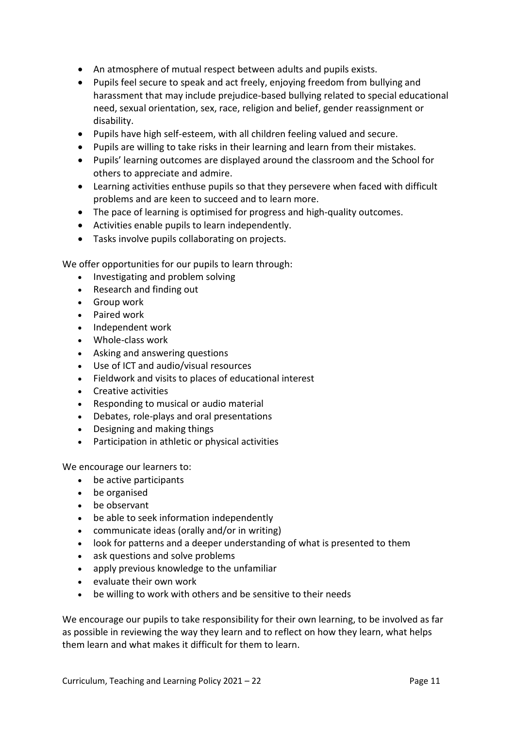- An atmosphere of mutual respect between adults and pupils exists.
- Pupils feel secure to speak and act freely, enjoying freedom from bullying and harassment that may include prejudice-based bullying related to special educational need, sexual orientation, sex, race, religion and belief, gender reassignment or disability.
- Pupils have high self-esteem, with all children feeling valued and secure.
- Pupils are willing to take risks in their learning and learn from their mistakes.
- Pupils' learning outcomes are displayed around the classroom and the School for others to appreciate and admire.
- Learning activities enthuse pupils so that they persevere when faced with difficult problems and are keen to succeed and to learn more.
- The pace of learning is optimised for progress and high-quality outcomes.
- Activities enable pupils to learn independently.
- Tasks involve pupils collaborating on projects.

We offer opportunities for our pupils to learn through:

- Investigating and problem solving
- Research and finding out
- Group work
- Paired work
- Independent work
- Whole-class work
- Asking and answering questions
- Use of ICT and audio/visual resources
- Fieldwork and visits to places of educational interest
- Creative activities
- Responding to musical or audio material
- Debates, role-plays and oral presentations
- Designing and making things
- Participation in athletic or physical activities

We encourage our learners to:

- be active participants
- be organised
- be observant
- be able to seek information independently
- communicate ideas (orally and/or in writing)
- look for patterns and a deeper understanding of what is presented to them
- ask questions and solve problems
- apply previous knowledge to the unfamiliar
- evaluate their own work
- be willing to work with others and be sensitive to their needs

We encourage our pupils to take responsibility for their own learning, to be involved as far as possible in reviewing the way they learn and to reflect on how they learn, what helps them learn and what makes it difficult for them to learn.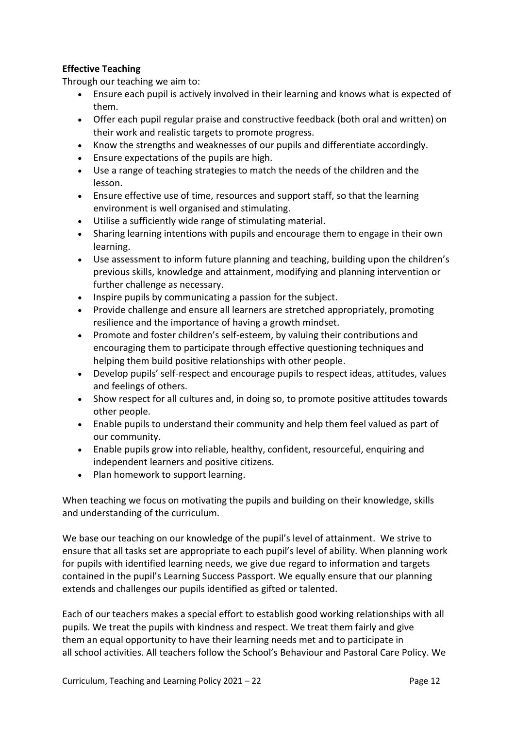## **Effective Teaching**

Through our teaching we aim to:

- Ensure each pupil is actively involved in their learning and knows what is expected of them.
- Offer each pupil regular praise and constructive feedback (both oral and written) on their work and realistic targets to promote progress.
- Know the strengths and weaknesses of our pupils and differentiate accordingly.
- Ensure expectations of the pupils are high.
- Use a range of teaching strategies to match the needs of the children and the lesson.
- Ensure effective use of time, resources and support staff, so that the learning environment is well organised and stimulating.
- Utilise a sufficiently wide range of stimulating material.
- Sharing learning intentions with pupils and encourage them to engage in their own learning.
- Use assessment to inform future planning and teaching, building upon the children's previous skills, knowledge and attainment, modifying and planning intervention or further challenge as necessary.
- Inspire pupils by communicating a passion for the subject.
- Provide challenge and ensure all learners are stretched appropriately, promoting resilience and the importance of having a growth mindset.
- Promote and foster children's self-esteem, by valuing their contributions and encouraging them to participate through effective questioning techniques and helping them build positive relationships with other people.
- Develop pupils' self-respect and encourage pupils to respect ideas, attitudes, values and feelings of others.
- Show respect for all cultures and, in doing so, to promote positive attitudes towards other people.
- Enable pupils to understand their community and help them feel valued as part of our community.
- Enable pupils grow into reliable, healthy, confident, resourceful, enquiring and independent learners and positive citizens.
- Plan homework to support learning.

When teaching we focus on motivating the pupils and building on their knowledge, skills and understanding of the curriculum.

We base our teaching on our knowledge of the pupil's level of attainment. We strive to ensure that all tasks set are appropriate to each pupil's level of ability. When planning work for pupils with identified learning needs, we give due regard to information and targets contained in the pupil's Learning Success Passport. We equally ensure that our planning extends and challenges our pupils identified as gifted or talented.

Each of our teachers makes a special effort to establish good working relationships with all pupils. We treat the pupils with kindness and respect. We treat them fairly and give them an equal opportunity to have their learning needs met and to participate in all school activities. All teachers follow the School's Behaviour and Pastoral Care Policy. We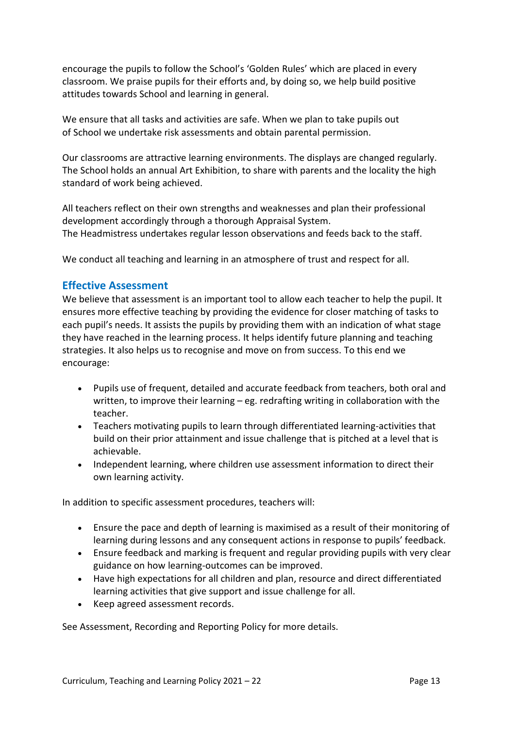encourage the pupils to follow the School's 'Golden Rules' which are placed in every classroom. We praise pupils for their efforts and, by doing so, we help build positive attitudes towards School and learning in general.

We ensure that all tasks and activities are safe. When we plan to take pupils out of School we undertake risk assessments and obtain parental permission.

Our classrooms are attractive learning environments. The displays are changed regularly. The School holds an annual Art Exhibition, to share with parents and the locality the high standard of work being achieved.

All teachers reflect on their own strengths and weaknesses and plan their professional development accordingly through a thorough Appraisal System. The Headmistress undertakes regular lesson observations and feeds back to the staff.

We conduct all teaching and learning in an atmosphere of trust and respect for all.

## **Effective Assessment**

We believe that assessment is an important tool to allow each teacher to help the pupil. It ensures more effective teaching by providing the evidence for closer matching of tasks to each pupil's needs. It assists the pupils by providing them with an indication of what stage they have reached in the learning process. It helps identify future planning and teaching strategies. It also helps us to recognise and move on from success. To this end we encourage:

- Pupils use of frequent, detailed and accurate feedback from teachers, both oral and written, to improve their learning – eg. redrafting writing in collaboration with the teacher.
- Teachers motivating pupils to learn through differentiated learning-activities that build on their prior attainment and issue challenge that is pitched at a level that is achievable.
- Independent learning, where children use assessment information to direct their own learning activity.

In addition to specific assessment procedures, teachers will:

- Ensure the pace and depth of learning is maximised as a result of their monitoring of learning during lessons and any consequent actions in response to pupils' feedback.
- Ensure feedback and marking is frequent and regular providing pupils with very clear guidance on how learning-outcomes can be improved.
- Have high expectations for all children and plan, resource and direct differentiated learning activities that give support and issue challenge for all.
- Keep agreed assessment records.

See Assessment, Recording and Reporting Policy for more details.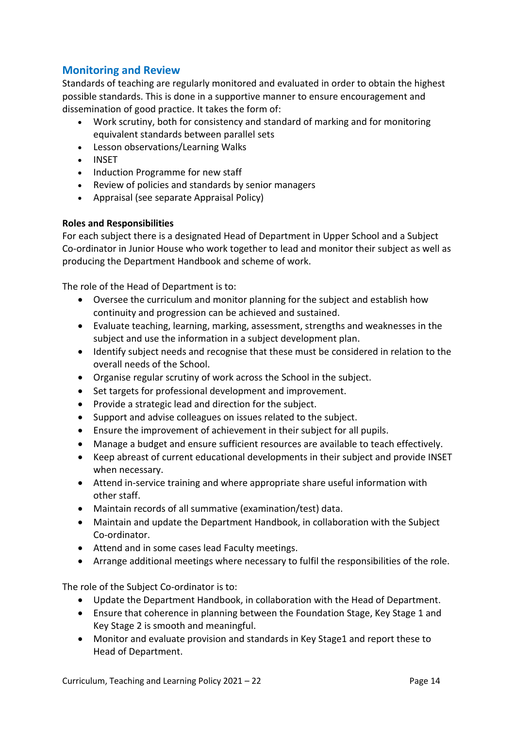# **Monitoring and Review**

Standards of teaching are regularly monitored and evaluated in order to obtain the highest possible standards. This is done in a supportive manner to ensure encouragement and dissemination of good practice. It takes the form of:

- Work scrutiny, both for consistency and standard of marking and for monitoring equivalent standards between parallel sets
- Lesson observations/Learning Walks
- INSET
- Induction Programme for new staff
- Review of policies and standards by senior managers
- Appraisal (see separate Appraisal Policy)

#### **Roles and Responsibilities**

For each subject there is a designated Head of Department in Upper School and a Subject Co-ordinator in Junior House who work together to lead and monitor their subject as well as producing the Department Handbook and scheme of work.

The role of the Head of Department is to:

- Oversee the curriculum and monitor planning for the subject and establish how continuity and progression can be achieved and sustained.
- Evaluate teaching, learning, marking, assessment, strengths and weaknesses in the subject and use the information in a subject development plan.
- Identify subject needs and recognise that these must be considered in relation to the overall needs of the School.
- Organise regular scrutiny of work across the School in the subject.
- Set targets for professional development and improvement.
- Provide a strategic lead and direction for the subject.
- Support and advise colleagues on issues related to the subject.
- Ensure the improvement of achievement in their subject for all pupils.
- Manage a budget and ensure sufficient resources are available to teach effectively.
- Keep abreast of current educational developments in their subject and provide INSET when necessary.
- Attend in-service training and where appropriate share useful information with other staff.
- Maintain records of all summative (examination/test) data.
- Maintain and update the Department Handbook, in collaboration with the Subject Co-ordinator.
- Attend and in some cases lead Faculty meetings.
- Arrange additional meetings where necessary to fulfil the responsibilities of the role.

The role of the Subject Co-ordinator is to:

- Update the Department Handbook, in collaboration with the Head of Department.
- Ensure that coherence in planning between the Foundation Stage, Key Stage 1 and Key Stage 2 is smooth and meaningful.
- Monitor and evaluate provision and standards in Key Stage1 and report these to Head of Department.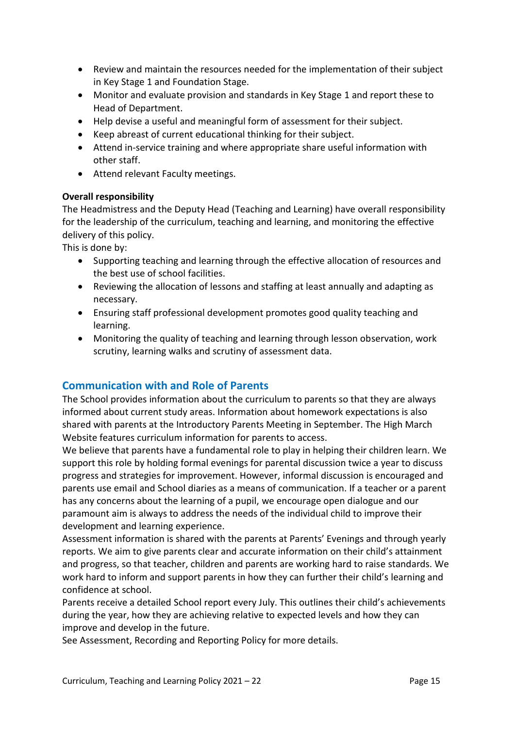- Review and maintain the resources needed for the implementation of their subject in Key Stage 1 and Foundation Stage.
- Monitor and evaluate provision and standards in Key Stage 1 and report these to Head of Department.
- Help devise a useful and meaningful form of assessment for their subject.
- Keep abreast of current educational thinking for their subject.
- Attend in-service training and where appropriate share useful information with other staff.
- Attend relevant Faculty meetings.

#### **Overall responsibility**

The Headmistress and the Deputy Head (Teaching and Learning) have overall responsibility for the leadership of the curriculum, teaching and learning, and monitoring the effective delivery of this policy.

This is done by:

- Supporting teaching and learning through the effective allocation of resources and the best use of school facilities.
- Reviewing the allocation of lessons and staffing at least annually and adapting as necessary.
- Ensuring staff professional development promotes good quality teaching and learning.
- Monitoring the quality of teaching and learning through lesson observation, work scrutiny, learning walks and scrutiny of assessment data.

## **Communication with and Role of Parents**

The School provides information about the curriculum to parents so that they are always informed about current study areas. Information about homework expectations is also shared with parents at the Introductory Parents Meeting in September. The High March Website features curriculum information for parents to access.

We believe that parents have a fundamental role to play in helping their children learn. We support this role by holding formal evenings for parental discussion twice a year to discuss progress and strategies for improvement. However, informal discussion is encouraged and parents use email and School diaries as a means of communication. If a teacher or a parent has any concerns about the learning of a pupil, we encourage open dialogue and our paramount aim is always to address the needs of the individual child to improve their development and learning experience.

Assessment information is shared with the parents at Parents' Evenings and through yearly reports. We aim to give parents clear and accurate information on their child's attainment and progress, so that teacher, children and parents are working hard to raise standards. We work hard to inform and support parents in how they can further their child's learning and confidence at school.

Parents receive a detailed School report every July. This outlines their child's achievements during the year, how they are achieving relative to expected levels and how they can improve and develop in the future.

See Assessment, Recording and Reporting Policy for more details.